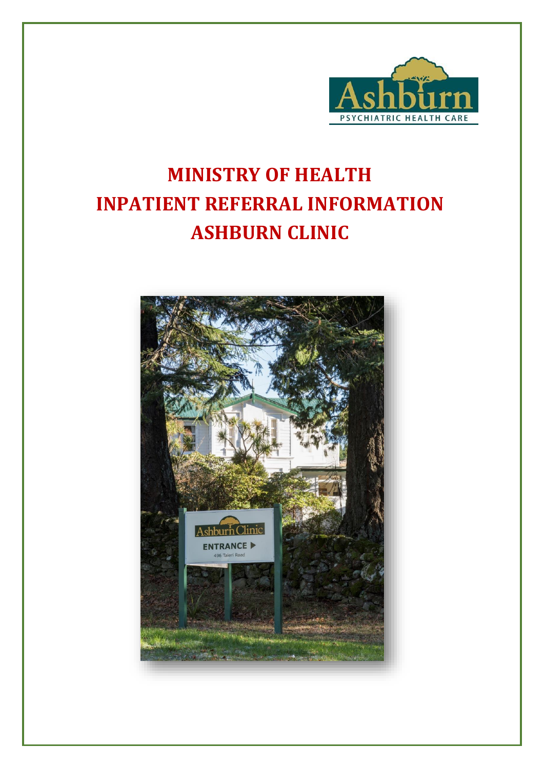

# **MINISTRY OF HEALTH INPATIENT REFERRAL INFORMATION ASHBURN CLINIC**

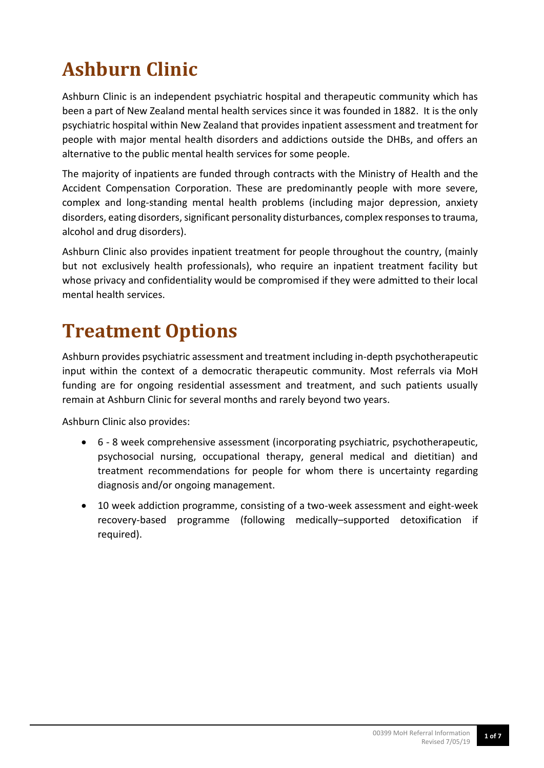# **Ashburn Clinic**

Ashburn Clinic is an independent psychiatric hospital and therapeutic community which has been a part of New Zealand mental health services since it was founded in 1882. It is the only psychiatric hospital within New Zealand that provides inpatient assessment and treatment for people with major mental health disorders and addictions outside the DHBs, and offers an alternative to the public mental health services for some people.

The majority of inpatients are funded through contracts with the Ministry of Health and the Accident Compensation Corporation. These are predominantly people with more severe, complex and long-standing mental health problems (including major depression, anxiety disorders, eating disorders, significant personality disturbances, complex responses to trauma, alcohol and drug disorders).

Ashburn Clinic also provides inpatient treatment for people throughout the country, (mainly but not exclusively health professionals), who require an inpatient treatment facility but whose privacy and confidentiality would be compromised if they were admitted to their local mental health services.

## **Treatment Options**

Ashburn provides psychiatric assessment and treatment including in-depth psychotherapeutic input within the context of a democratic therapeutic community. Most referrals via MoH funding are for ongoing residential assessment and treatment, and such patients usually remain at Ashburn Clinic for several months and rarely beyond two years.

Ashburn Clinic also provides:

- 6 8 week comprehensive assessment (incorporating psychiatric, psychotherapeutic, psychosocial nursing, occupational therapy, general medical and dietitian) and treatment recommendations for people for whom there is uncertainty regarding diagnosis and/or ongoing management.
- 10 week addiction programme, consisting of a two-week assessment and eight-week recovery-based programme (following medically–supported detoxification if required).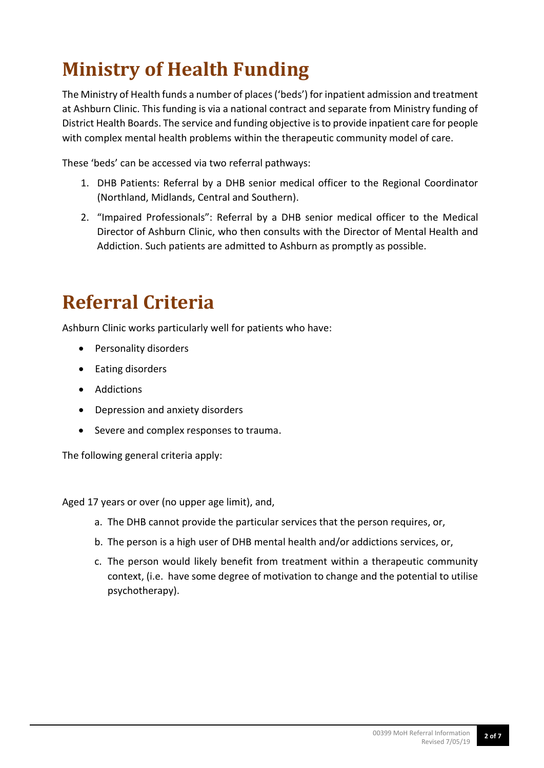### **Ministry of Health Funding**

The Ministry of Health funds a number of places ('beds') for inpatient admission and treatment at Ashburn Clinic. This funding is via a national contract and separate from Ministry funding of District Health Boards. The service and funding objective is to provide inpatient care for people with complex mental health problems within the therapeutic community model of care.

These 'beds' can be accessed via two referral pathways:

- 1. DHB Patients: Referral by a DHB senior medical officer to the Regional Coordinator (Northland, Midlands, Central and Southern).
- 2. "Impaired Professionals": Referral by a DHB senior medical officer to the Medical Director of Ashburn Clinic, who then consults with the Director of Mental Health and Addiction. Such patients are admitted to Ashburn as promptly as possible.

### **Referral Criteria**

Ashburn Clinic works particularly well for patients who have:

- Personality disorders
- Eating disorders
- Addictions
- Depression and anxiety disorders
- Severe and complex responses to trauma.

The following general criteria apply:

Aged 17 years or over (no upper age limit), and,

- a. The DHB cannot provide the particular services that the person requires, or,
- b. The person is a high user of DHB mental health and/or addictions services, or,
- c. The person would likely benefit from treatment within a therapeutic community context, (i.e. have some degree of motivation to change and the potential to utilise psychotherapy).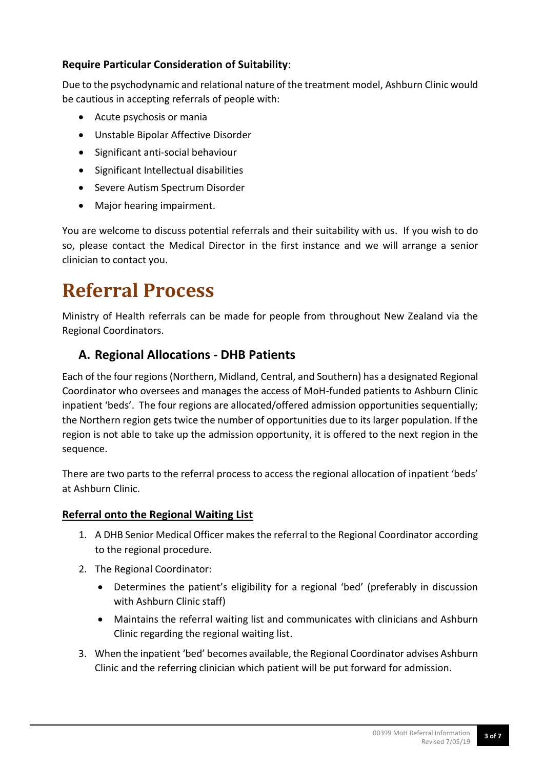#### **Require Particular Consideration of Suitability**:

Due to the psychodynamic and relational nature of the treatment model, Ashburn Clinic would be cautious in accepting referrals of people with:

- Acute psychosis or mania
- Unstable Bipolar Affective Disorder
- Significant anti-social behaviour
- Significant Intellectual disabilities
- Severe Autism Spectrum Disorder
- Major hearing impairment.

You are welcome to discuss potential referrals and their suitability with us. If you wish to do so, please contact the Medical Director in the first instance and we will arrange a senior clinician to contact you.

### **Referral Process**

Ministry of Health referrals can be made for people from throughout New Zealand via the Regional Coordinators.

### **A. Regional Allocations - DHB Patients**

Each of the four regions (Northern, Midland, Central, and Southern) has a designated Regional Coordinator who oversees and manages the access of MoH-funded patients to Ashburn Clinic inpatient 'beds'. The four regions are allocated/offered admission opportunities sequentially; the Northern region gets twice the number of opportunities due to its larger population. If the region is not able to take up the admission opportunity, it is offered to the next region in the sequence.

There are two parts to the referral process to access the regional allocation of inpatient 'beds' at Ashburn Clinic.

#### **Referral onto the Regional Waiting List**

- 1. A DHB Senior Medical Officer makes the referral to the Regional Coordinator according to the regional procedure.
- 2. The Regional Coordinator:
	- Determines the patient's eligibility for a regional 'bed' (preferably in discussion with Ashburn Clinic staff)
	- Maintains the referral waiting list and communicates with clinicians and Ashburn Clinic regarding the regional waiting list.
- 3. When the inpatient 'bed' becomes available, the Regional Coordinator advises Ashburn Clinic and the referring clinician which patient will be put forward for admission.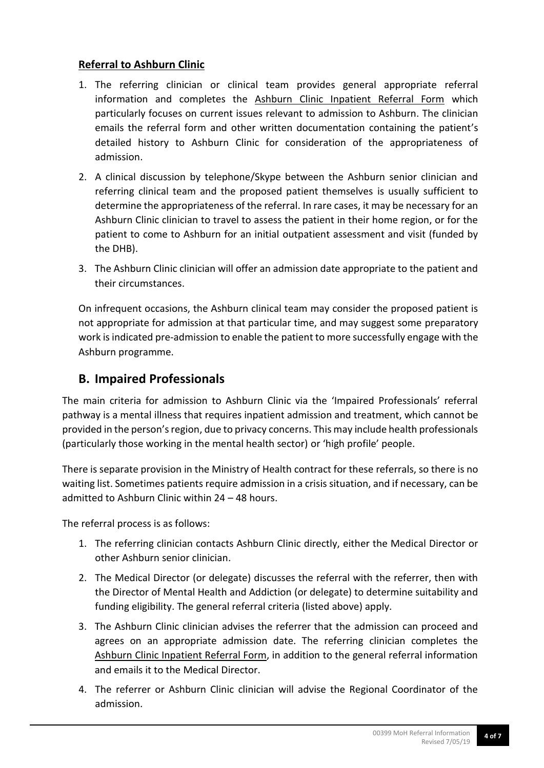#### **Referral to Ashburn Clinic**

- 1. The referring clinician or clinical team provides general appropriate referral information and completes the Ashburn Clinic Inpatient Referral Form which particularly focuses on current issues relevant to admission to Ashburn. The clinician emails the referral form and other written documentation containing the patient's detailed history to Ashburn Clinic for consideration of the appropriateness of admission.
- 2. A clinical discussion by telephone/Skype between the Ashburn senior clinician and referring clinical team and the proposed patient themselves is usually sufficient to determine the appropriateness of the referral. In rare cases, it may be necessary for an Ashburn Clinic clinician to travel to assess the patient in their home region, or for the patient to come to Ashburn for an initial outpatient assessment and visit (funded by the DHB).
- 3. The Ashburn Clinic clinician will offer an admission date appropriate to the patient and their circumstances.

On infrequent occasions, the Ashburn clinical team may consider the proposed patient is not appropriate for admission at that particular time, and may suggest some preparatory work is indicated pre-admission to enable the patient to more successfully engage with the Ashburn programme.

### **B. Impaired Professionals**

The main criteria for admission to Ashburn Clinic via the 'Impaired Professionals' referral pathway is a mental illness that requires inpatient admission and treatment, which cannot be provided in the person's region, due to privacy concerns. This may include health professionals (particularly those working in the mental health sector) or 'high profile' people.

There is separate provision in the Ministry of Health contract for these referrals, so there is no waiting list. Sometimes patients require admission in a crisis situation, and if necessary, can be admitted to Ashburn Clinic within 24 – 48 hours.

The referral process is as follows:

- 1. The referring clinician contacts Ashburn Clinic directly, either the Medical Director or other Ashburn senior clinician.
- 2. The Medical Director (or delegate) discusses the referral with the referrer, then with the Director of Mental Health and Addiction (or delegate) to determine suitability and funding eligibility. The general referral criteria (listed above) apply.
- 3. The Ashburn Clinic clinician advises the referrer that the admission can proceed and agrees on an appropriate admission date. The referring clinician completes the Ashburn Clinic Inpatient Referral Form, in addition to the general referral information and emails it to the Medical Director.
- 4. The referrer or Ashburn Clinic clinician will advise the Regional Coordinator of the admission.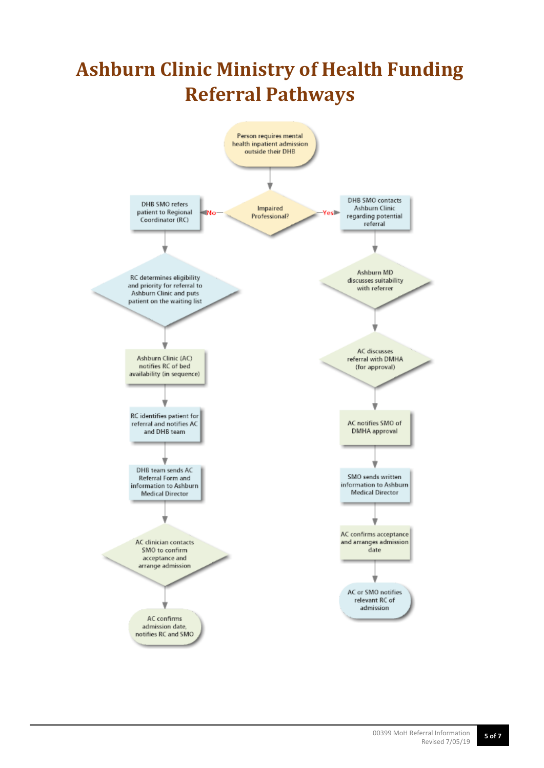## **Ashburn Clinic Ministry of Health Funding Referral Pathways**

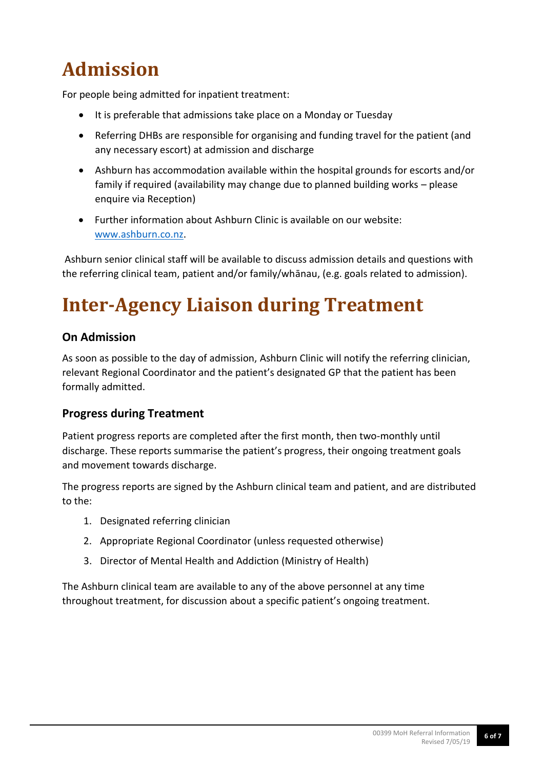## **Admission**

For people being admitted for inpatient treatment:

- It is preferable that admissions take place on a Monday or Tuesday
- Referring DHBs are responsible for organising and funding travel for the patient (and any necessary escort) at admission and discharge
- Ashburn has accommodation available within the hospital grounds for escorts and/or family if required (availability may change due to planned building works – please enquire via Reception)
- Further information about Ashburn Clinic is available on our website: [www.ashburn.co.nz.](http://www.ashburn.co.nz/)

Ashburn senior clinical staff will be available to discuss admission details and questions with the referring clinical team, patient and/or family/whānau, (e.g. goals related to admission).

## **Inter-Agency Liaison during Treatment**

#### **On Admission**

As soon as possible to the day of admission, Ashburn Clinic will notify the referring clinician, relevant Regional Coordinator and the patient's designated GP that the patient has been formally admitted.

#### **Progress during Treatment**

Patient progress reports are completed after the first month, then two-monthly until discharge. These reports summarise the patient's progress, their ongoing treatment goals and movement towards discharge.

The progress reports are signed by the Ashburn clinical team and patient, and are distributed to the:

- 1. Designated referring clinician
- 2. Appropriate Regional Coordinator (unless requested otherwise)
- 3. Director of Mental Health and Addiction (Ministry of Health)

The Ashburn clinical team are available to any of the above personnel at any time throughout treatment, for discussion about a specific patient's ongoing treatment.